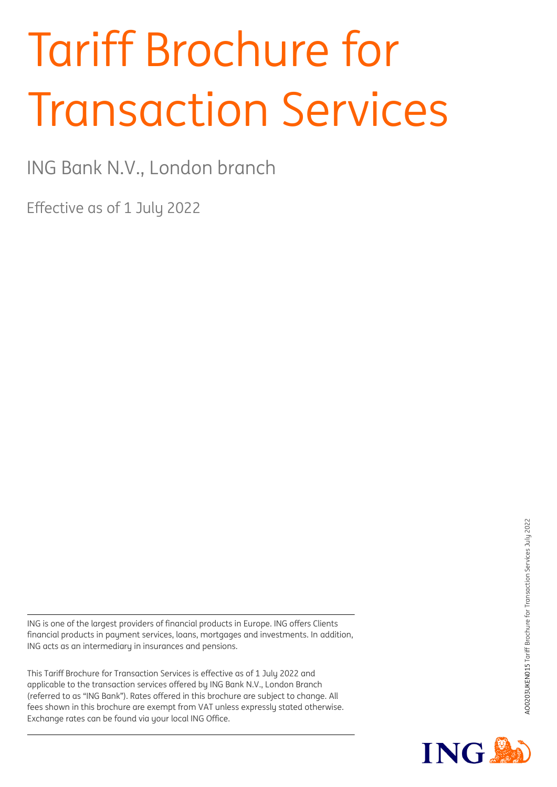# Tariff Brochure for Transaction Services

ING Bank N.V., London branch

Effective as of 1 July 2022

ING is one of the largest providers of financial products in Europe. ING offers Clients financial products in payment services, loans, mortgages and investments. In addition, ING acts as an intermediary in insurances and pensions.

This Tariff Brochure for Transaction Services is effective as of 1 July 2022 and applicable to the transaction services offered by ING Bank N.V., London Branch (referred to as "ING Bank"). Rates offered in this brochure are subject to change. All fees shown in this brochure are exempt from VAT unless expressly stated otherwise. Exchange rates can be found via your local ING Office.

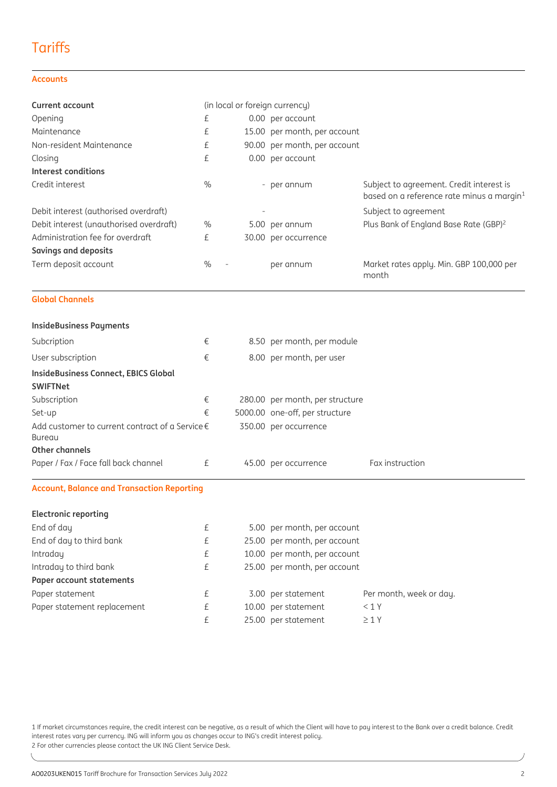### **Tariffs**

### **Accounts**

| <b>Current account</b>                                           |      | (in local or foreign currency) |                                 |                                                                                                   |
|------------------------------------------------------------------|------|--------------------------------|---------------------------------|---------------------------------------------------------------------------------------------------|
| Opening                                                          | £    |                                | 0.00 per account                |                                                                                                   |
| Maintenance                                                      | £    |                                | 15.00 per month, per account    |                                                                                                   |
| Non-resident Maintenance                                         | £    |                                | 90.00 per month, per account    |                                                                                                   |
| Closing                                                          | £    |                                | 0.00 per account                |                                                                                                   |
| Interest conditions                                              |      |                                |                                 |                                                                                                   |
| Credit interest                                                  | $\%$ |                                | - per annum                     | Subject to agreement. Credit interest is<br>based on a reference rate minus a margin <sup>1</sup> |
| Debit interest (authorised overdraft)                            |      |                                |                                 | Subject to agreement                                                                              |
| Debit interest (unauthorised overdraft)                          | $\%$ |                                | 5.00 per annum                  | Plus Bank of England Base Rate (GBP) <sup>2</sup>                                                 |
| Administration fee for overdraft                                 | £    |                                | 30.00 per occurrence            |                                                                                                   |
| <b>Savings and deposits</b>                                      |      |                                |                                 |                                                                                                   |
| Term deposit account                                             | $\%$ |                                | per annum                       | Market rates apply. Min. GBP 100,000 per<br>month                                                 |
| <b>Global Channels</b>                                           |      |                                |                                 |                                                                                                   |
| <b>InsideBusiness Payments</b>                                   |      |                                |                                 |                                                                                                   |
| Subcription                                                      | €    |                                | 8.50 per month, per module      |                                                                                                   |
| User subscription                                                | €    |                                | 8.00 per month, per user        |                                                                                                   |
| <b>InsideBusiness Connect, EBICS Global</b>                      |      |                                |                                 |                                                                                                   |
| <b>SWIFTNet</b>                                                  |      |                                |                                 |                                                                                                   |
| Subscription                                                     | €    |                                | 280.00 per month, per structure |                                                                                                   |
| Set-up                                                           | €    |                                | 5000.00 one-off, per structure  |                                                                                                   |
| Add customer to current contract of a Service €<br><b>Bureau</b> |      |                                | 350.00 per occurrence           |                                                                                                   |
| <b>Other channels</b>                                            |      |                                |                                 |                                                                                                   |
| Paper / Fax / Face fall back channel                             | £    |                                | 45.00 per occurrence            | Fax instruction                                                                                   |
| <b>Account, Balance and Transaction Reporting</b>                |      |                                |                                 |                                                                                                   |
| Electronic reporting                                             |      |                                |                                 |                                                                                                   |
| End of day                                                       | £    |                                | 5.00 per month, per account     |                                                                                                   |
| End of day to third bank                                         | £    |                                | 25.00 per month, per account    |                                                                                                   |
| Intraday                                                         | £    |                                | 10.00 per month, per account    |                                                                                                   |
| Intraday to third bank                                           | £    |                                | 25.00 per month, per account    |                                                                                                   |
| Paper account statements                                         |      |                                |                                 |                                                                                                   |
| Paper statement                                                  | £    |                                | 3.00 per statement              | Per month, week or day.                                                                           |
| Paper statement replacement                                      | £    |                                | 10.00 per statement             | < 1 Y                                                                                             |
|                                                                  | £    |                                | 25.00 per statement             | $\geq 1$ Y                                                                                        |

1 If market circumstances require, the credit interest can be negative, as a result of which the Client will have to pay interest to the Bank over a credit balance. Credit interest rates vary per currency. ING will inform you as changes occur to ING's credit interest policy. 2 For other currencies please contact the UK ING Client Service Desk.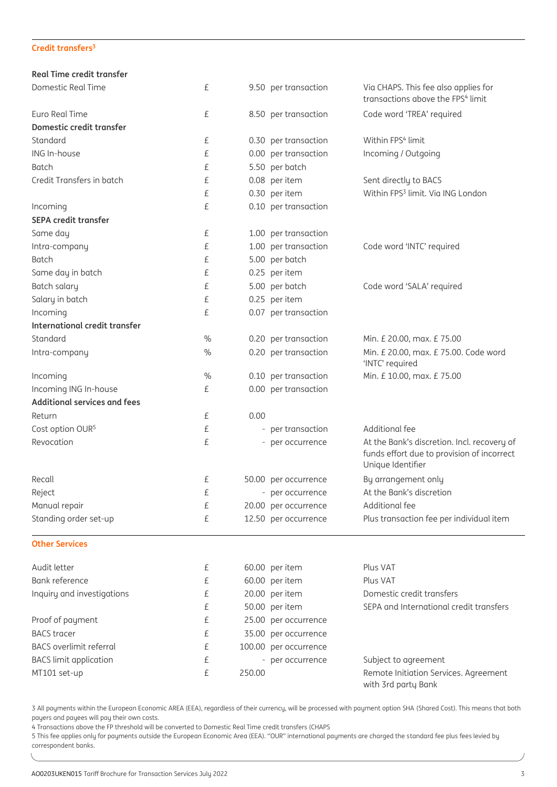### **Credit transfers 3**

<span id="page-2-0"></span>

| <b>Real Time credit transfer</b>                             |      |      |                      |                                                                                                                |
|--------------------------------------------------------------|------|------|----------------------|----------------------------------------------------------------------------------------------------------------|
| Domestic Real Time                                           | £    |      | 9.50 per transaction | Via CHAPS. This fee also applies for<br>transactions above the FPS <sup>4</sup> limit                          |
| Euro Real Time                                               | £    |      | 8.50 per transaction | Code word 'TREA' required                                                                                      |
| Domestic credit transfer                                     |      |      |                      |                                                                                                                |
| Standard                                                     | £    |      | 0.30 per transaction | Within FPS <sup>4</sup> limit                                                                                  |
| <b>ING In-house</b>                                          | £    |      | 0.00 per transaction | Incoming / Outgoing                                                                                            |
| <b>Batch</b>                                                 | £    |      | 5.50 per batch       |                                                                                                                |
| Credit Transfers in batch                                    | £    |      | 0.08 per item        | Sent directly to BACS                                                                                          |
|                                                              | £    |      | 0.30 per item        | Within FPS <sup>3</sup> limit. Via ING London                                                                  |
| Incoming                                                     | £    |      | 0.10 per transaction |                                                                                                                |
| <b>SEPA credit transfer</b>                                  |      |      |                      |                                                                                                                |
| Same day                                                     | £    |      | 1.00 per transaction |                                                                                                                |
| Intra-company                                                | £    |      | 1.00 per transaction | Code word 'INTC' required                                                                                      |
| <b>Batch</b>                                                 | £    |      | 5.00 per batch       |                                                                                                                |
| Same day in batch                                            | £    |      | 0.25 per item        |                                                                                                                |
| Batch salary                                                 | £    |      | 5.00 per batch       | Code word 'SALA' required                                                                                      |
| Salary in batch                                              | £    |      | 0.25 per item        |                                                                                                                |
| Incoming                                                     | £    |      | 0.07 per transaction |                                                                                                                |
| International credit transfer                                |      |      |                      |                                                                                                                |
| Standard                                                     | $\%$ |      | 0.20 per transaction | Min. £ 20.00, max. £ 75.00                                                                                     |
| Intra-company                                                | $\%$ |      | 0.20 per transaction | Min. £ 20.00, max. £ 75.00. Code word<br>'INTC' required                                                       |
| Incoming                                                     | $\%$ |      | 0.10 per transaction | Min. £ 10.00, max. £ 75.00                                                                                     |
| Incoming ING In-house<br><b>Additional services and fees</b> | £    |      | 0.00 per transaction |                                                                                                                |
| Return                                                       | £    | 0.00 |                      |                                                                                                                |
| Cost option OUR <sup>5</sup>                                 | £    |      | per transaction      | Additional fee                                                                                                 |
| Revocation                                                   | £    |      | per occurrence       | At the Bank's discretion. Incl. recovery of<br>funds effort due to provision of incorrect<br>Unique Identifier |
| Recall                                                       | £    |      | 50.00 per occurrence | By arrangement only                                                                                            |
| Reject                                                       | £    |      | - per occurrence     | At the Bank's discretion                                                                                       |
| Manual repair                                                | £    |      | 20.00 per occurrence | Additional fee                                                                                                 |
| Standing order set-up                                        | £    |      | 12.50 per occurrence | Plus transaction fee per individual item                                                                       |
| .                                                            |      |      |                      |                                                                                                                |

### **Other Services**

| Audit letter                   | £ | 60.00 per item        | Plus VAT                                                     |
|--------------------------------|---|-----------------------|--------------------------------------------------------------|
| Bank reference                 | £ | 60.00 per item        | Plus VAT                                                     |
| Inquiry and investigations     |   | 20.00 per item        | Domestic credit transfers                                    |
|                                | £ | 50.00 per item        | SEPA and International credit transfers                      |
| Proof of payment               | £ | 25.00 per occurrence  |                                                              |
| <b>BACS</b> tracer             | £ | 35.00 per occurrence  |                                                              |
| <b>BACS</b> overlimit referral | £ | 100.00 per occurrence |                                                              |
| <b>BACS</b> limit application  | £ | - per occurrence      | Subject to agreement                                         |
| MT101 set-up                   | £ | 250.00                | Remote Initiation Services. Agreement<br>with 3rd party Bank |

3 All payments within the European Economic AREA (EEA), regardless of their currency, will be processed with payment option SHA (Shared Cost). This means that both payers and payees will pay their own costs.

4 Transactions above the FP threshold will be converted to Domestic Real Time credit transfers (CHAPS

5 This fee applies only for payments outside the European Economic Area (EEA). ''OUR'' international payments are charged the standard fee plus fees levied by correspondent banks.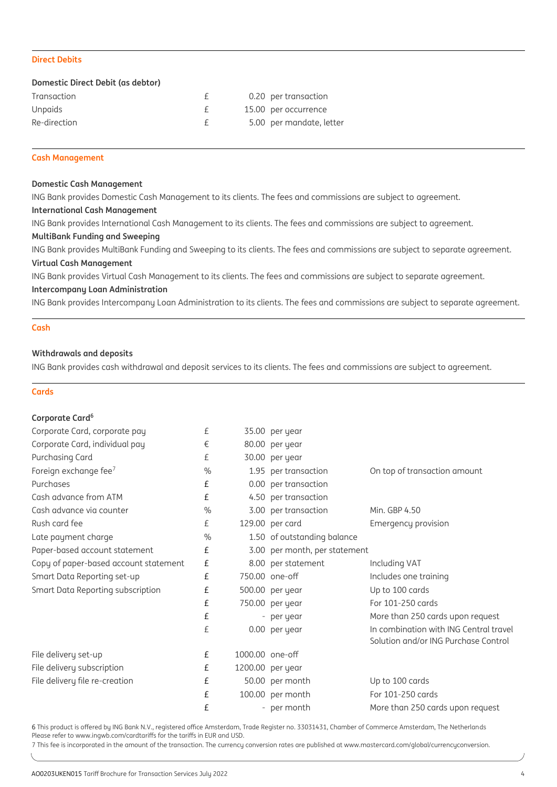### **Direct Debits**

### **Domestic Direct Debit (as debtor)**

| Transaction  |  | 0.20 per transaction     |
|--------------|--|--------------------------|
| Unpaids      |  | 15.00 per occurrence     |
| Re-direction |  | 5.00 per mandate, letter |

### **Cash Management**

### **Domestic Cash Management**

ING Bank provides Domestic Cash Management to its clients. The fees and commissions are subject to agreement.

### **International Cash Management**

ING Bank provides International Cash Management to its clients. The fees and commissions are subject to agreement.

### **MultiBank Funding and Sweeping**

ING Bank provides MultiBank Funding and Sweeping to its clients. The fees and commissions are subject to separate agreement. **Virtual Cash Management**

ING Bank provides Virtual Cash Management to its clients. The fees and commissions are subject to separate agreement.

### **Intercompany Loan Administration**

ING Bank provides Intercompany Loan Administration to its clients. The fees and commissions are subject to separate agreement.

#### **Cash**

### **Withdrawals and deposits**

ING Bank provides cash withdrawal and deposit services to its clients. The fees and commissions are subject to agreement.

### **Cards**

### **Corporate Card<sup>6</sup>**

| Corporate Card, corporate pay         | £             |                 | 35.00 per year                |                                                                                |
|---------------------------------------|---------------|-----------------|-------------------------------|--------------------------------------------------------------------------------|
| Corporate Card, individual pay        | €             |                 | 80.00 per year                |                                                                                |
| Purchasing Card                       | £             |                 | 30.00 per year                |                                                                                |
| Foreign exchange fee <sup>7</sup>     | $\frac{0}{0}$ |                 | 1.95 per transaction          | On top of transaction amount                                                   |
| Purchases                             | £             |                 | 0.00 per transaction          |                                                                                |
| Cash advance from ATM                 | £             |                 | 4.50 per transaction          |                                                                                |
| Cash advance via counter              | $\%$          |                 | 3.00 per transaction          | Min. GBP 4.50                                                                  |
| Rush card fee                         | £             |                 | 129.00 per card               | Emergency provision                                                            |
| Late payment charge                   | $\frac{0}{0}$ |                 | 1.50 of outstanding balance   |                                                                                |
| Paper-based account statement         | £             |                 | 3.00 per month, per statement |                                                                                |
| Copy of paper-based account statement | £             |                 | 8.00 per statement            | Including VAT                                                                  |
| Smart Data Reporting set-up           | £             |                 | 750.00 one-off                | Includes one training                                                          |
| Smart Data Reporting subscription     | £             |                 | 500.00 per year               | Up to 100 cards                                                                |
|                                       | £             |                 | 750.00 per year               | For 101-250 cards                                                              |
|                                       | £             |                 | - per year                    | More than 250 cards upon request                                               |
|                                       | £             |                 | 0.00 per year                 | In combination with ING Central travel<br>Solution and/or ING Purchase Control |
| File delivery set-up                  | £             | 1000.00 one-off |                               |                                                                                |
| File delivery subscription            | £             |                 | 1200.00 per year              |                                                                                |
| File delivery file re-creation        | £             |                 | 50.00 per month               | Up to 100 cards                                                                |
|                                       | £             |                 | 100.00 per month              | For 101-250 cards                                                              |
|                                       | £             |                 | - per month                   | More than 250 cards upon request                                               |

6 This product is offered by ING Bank N.V., registered office Amsterdam, Trade Register no. 33031431, Chamber of Commerce Amsterdam, The Netherlands Please refer to www.ingwb.com/cardtariffs for the tariffs in EUR and USD.

7 This fee is incorporated in the amount of the transaction. The currency conversion rates are published at www.mastercard.com/global/currencyconversion.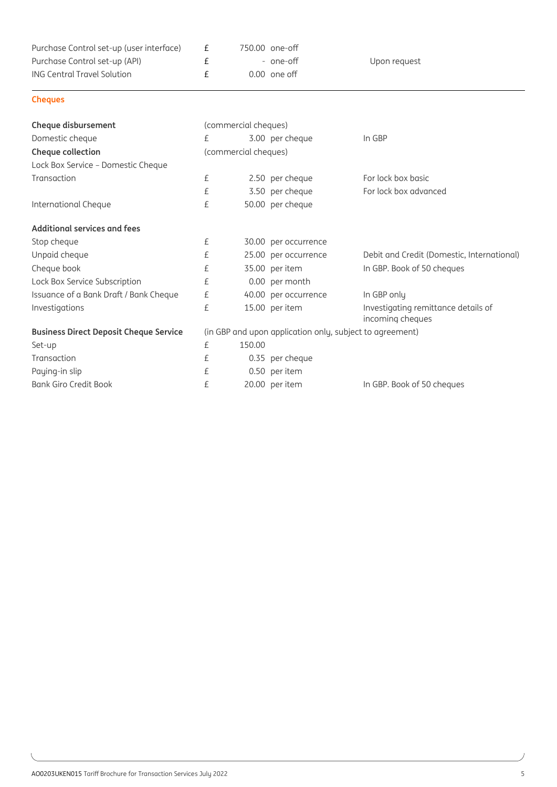| Purchase Control set-up (user interface)      | £ |                      | 750.00 one-off                                           |                                                         |
|-----------------------------------------------|---|----------------------|----------------------------------------------------------|---------------------------------------------------------|
| Purchase Control set-up (API)                 | £ |                      | - one-off                                                | Upon request                                            |
| <b>ING Central Travel Solution</b>            | £ |                      | $0.00$ one off                                           |                                                         |
| <b>Cheques</b>                                |   |                      |                                                          |                                                         |
| <b>Cheque disbursement</b>                    |   | (commercial cheques) |                                                          |                                                         |
| Domestic cheque                               | £ |                      | 3.00 per cheque                                          | In GBP                                                  |
| Cheque collection                             |   | (commercial cheques) |                                                          |                                                         |
| Lock Box Service - Domestic Cheque            |   |                      |                                                          |                                                         |
| Transaction                                   | £ |                      | 2.50 per cheque                                          | For lock box basic                                      |
|                                               | £ |                      | 3.50 per cheque                                          | For lock box advanced                                   |
| <b>International Cheque</b>                   | £ |                      | 50.00 per cheque                                         |                                                         |
| <b>Additional services and fees</b>           |   |                      |                                                          |                                                         |
| Stop cheque                                   | £ |                      | 30.00 per occurrence                                     |                                                         |
| Unpaid cheque                                 | £ |                      | 25.00 per occurrence                                     | Debit and Credit (Domestic, International)              |
| Cheque book                                   | £ |                      | 35.00 per item                                           | In GBP. Book of 50 cheques                              |
| Lock Box Service Subscription                 | £ |                      | 0.00 per month                                           |                                                         |
| Issuance of a Bank Draft / Bank Cheque        | £ |                      | 40.00 per occurrence                                     | In GBP only                                             |
| Investigations                                | £ |                      | 15.00 per item                                           | Investigating remittance details of<br>incoming cheques |
| <b>Business Direct Deposit Cheque Service</b> |   |                      | (in GBP and upon application only, subject to agreement) |                                                         |
| Set-up                                        | £ | 150.00               |                                                          |                                                         |
| Transaction                                   | £ |                      | 0.35 per cheque                                          |                                                         |
| Paying-in slip                                | £ |                      | 0.50 per item                                            |                                                         |
| <b>Bank Giro Credit Book</b>                  | £ |                      | 20.00 per item                                           | In GBP. Book of 50 cheques                              |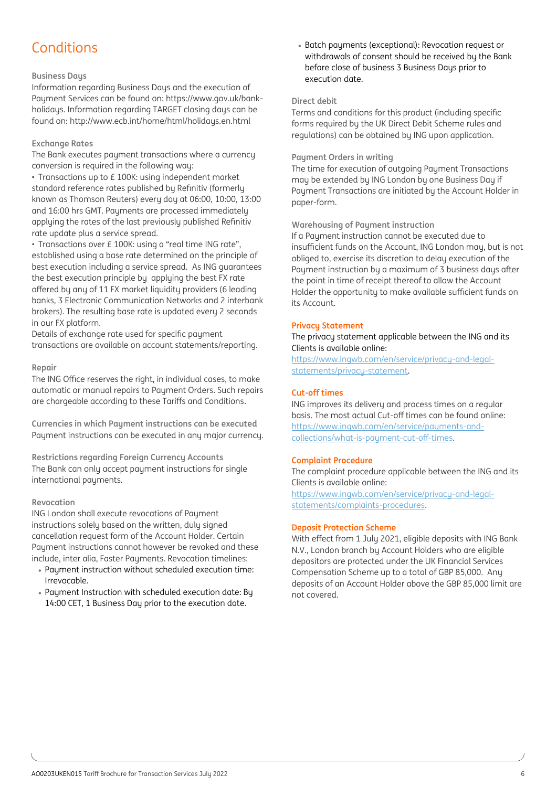### Conditions

### **Business Days**

Information regarding Business Days and the execution of Payment Services can be found on: https://www.gov.uk/bankholidays. Information regarding TARGET closing days can be found on: http://www.ecb.int/home/html/holidays.en.html

### **Exchange Rates**

The Bank executes payment transactions where a currency conversion is required in the following way:

• Transactions up to £ 100K: using independent market standard reference rates published by Refinitiv (formerly known as Thomson Reuters) every day at 06:00, 10:00, 13:00 and 16:00 hrs GMT. Payments are processed immediately applying the rates of the last previously published Refinitiv rate update plus a service spread.

• Transactions over £ 100K: using a "real time ING rate", established using a base rate determined on the principle of best execution including a service spread. As ING guarantees the best execution principle by applying the best FX rate offered by any of 11 FX market liquidity providers (6 leading banks, 3 Electronic Communication Networks and 2 interbank brokers). The resulting base rate is updated every 2 seconds in our FX platform.

Details of exchange rate used for specific payment transactions are available on account statements/reporting.

### **Repair**

The ING Office reserves the right, in individual cases, to make automatic or manual repairs to Payment Orders. Such repairs are chargeable according to these Tariffs and Conditions.

**Currencies in which Payment instructions can be executed** Payment instructions can be executed in any major currency.

**Restrictions regarding Foreign Currency Accounts** The Bank can only accept payment instructions for single international payments.

### **Revocation**

ING London shall execute revocations of Payment instructions solely based on the written, duly signed cancellation request form of the Account Holder. Certain Payment instructions cannot however be revoked and these include, inter alia, Faster Payments. Revocation timelines:

- Payment instruction without scheduled execution time: Irrevocable.
- Payment Instruction with scheduled execution date: By 14:00 CET, 1 Business Day prior to the execution date.

• Batch payments (exceptional): Revocation request or withdrawals of consent should be received by the Bank before close of business 3 Business Days prior to execution date.

### **Direct debit**

Terms and conditions for this product (including specific forms required by the UK Direct Debit Scheme rules and regulations) can be obtained by ING upon application.

### **Payment Orders in writing**

The time for execution of outgoing Payment Transactions may be extended by ING London by one Business Day if Payment Transactions are initiated by the Account Holder in paper-form.

**Warehousing of Payment instruction**

If a Payment instruction cannot be executed due to insufficient funds on the Account, ING London may, but is not obliged to, exercise its discretion to delay execution of the Payment instruction by a maximum of 3 business days after the point in time of receipt thereof to allow the Account Holder the opportunity to make available sufficient funds on its Account.

### **Privacy Statement**

The privacy statement applicable between the ING and its Clients is available online:

[https://www.ingwb.com/en/service/privacy-and-legal](https://eur02.safelinks.protection.outlook.com/?url=https%3A%2F%2Fwww.ingwb.com%2Fen%2Fservice%2Fprivacy-and-legal-statements%2Fprivacy-statement&data=04%7C01%7CTSPricing%40mail.ing.nl%7C4f2adb94a1514abb5b7108d98413dfb5%7C587b6ea13db94fe1a9d785d4c64ce5cc%7C0%7C0%7C637686043157514679%7CUnknown%7CTWFpbGZsb3d8eyJWIjoiMC4wLjAwMDAiLCJQIjoiV2luMzIiLCJBTiI6Ik1haWwiLCJXVCI6Mn0%3D%7C1000&sdata=Svq%2F98XukNz3XBuXfNUhqhQBEhDzxR9g5tMYpvfAL%2F8%3D&reserved=0)[statements/privacy-statement.](https://eur02.safelinks.protection.outlook.com/?url=https%3A%2F%2Fwww.ingwb.com%2Fen%2Fservice%2Fprivacy-and-legal-statements%2Fprivacy-statement&data=04%7C01%7CTSPricing%40mail.ing.nl%7C4f2adb94a1514abb5b7108d98413dfb5%7C587b6ea13db94fe1a9d785d4c64ce5cc%7C0%7C0%7C637686043157514679%7CUnknown%7CTWFpbGZsb3d8eyJWIjoiMC4wLjAwMDAiLCJQIjoiV2luMzIiLCJBTiI6Ik1haWwiLCJXVCI6Mn0%3D%7C1000&sdata=Svq%2F98XukNz3XBuXfNUhqhQBEhDzxR9g5tMYpvfAL%2F8%3D&reserved=0)

### **Cut-off times**

ING improves its delivery and process times on a regular basis. The most actual Cut-off times can be found online: [https://www.ingwb.com/en/service/payments-and](https://eur02.safelinks.protection.outlook.com/?url=https%3A%2F%2Fwww.ingwb.com%2Fen%2Fservice%2Fpayments-and-collections%2Fwhat-is-payment-cut-off-times&data=04%7C01%7CTSPricing%40mail.ing.nl%7C4f2adb94a1514abb5b7108d98413dfb5%7C587b6ea13db94fe1a9d785d4c64ce5cc%7C0%7C0%7C637686043157534668%7CUnknown%7CTWFpbGZsb3d8eyJWIjoiMC4wLjAwMDAiLCJQIjoiV2luMzIiLCJBTiI6Ik1haWwiLCJXVCI6Mn0%3D%7C1000&sdata=iAZShzKttBJ6mPUoREuzjKs%2FsL3Cc4gQVigJKTpeTCQ%3D&reserved=0)[collections/what-is-payment-cut-off-times.](https://eur02.safelinks.protection.outlook.com/?url=https%3A%2F%2Fwww.ingwb.com%2Fen%2Fservice%2Fpayments-and-collections%2Fwhat-is-payment-cut-off-times&data=04%7C01%7CTSPricing%40mail.ing.nl%7C4f2adb94a1514abb5b7108d98413dfb5%7C587b6ea13db94fe1a9d785d4c64ce5cc%7C0%7C0%7C637686043157534668%7CUnknown%7CTWFpbGZsb3d8eyJWIjoiMC4wLjAwMDAiLCJQIjoiV2luMzIiLCJBTiI6Ik1haWwiLCJXVCI6Mn0%3D%7C1000&sdata=iAZShzKttBJ6mPUoREuzjKs%2FsL3Cc4gQVigJKTpeTCQ%3D&reserved=0)

### **Complaint Procedure**

The complaint procedure applicable between the ING and its Clients is available online:

[https://www.ingwb.com/en/service/privacy-and-legal](https://eur02.safelinks.protection.outlook.com/?url=https%3A%2F%2Fwww.ingwb.com%2Fen%2Fservice%2Fprivacy-and-legal-statements%2Fcomplaints-procedures&data=04%7C01%7CTSPricing%40mail.ing.nl%7C4f2adb94a1514abb5b7108d98413dfb5%7C587b6ea13db94fe1a9d785d4c64ce5cc%7C0%7C0%7C637686043157544671%7CUnknown%7CTWFpbGZsb3d8eyJWIjoiMC4wLjAwMDAiLCJQIjoiV2luMzIiLCJBTiI6Ik1haWwiLCJXVCI6Mn0%3D%7C1000&sdata=fB130BH%2BUrdTt497ckUMfpMlNEdZq7kfcZyH00b%2BiBs%3D&reserved=0)[statements/complaints-procedures.](https://eur02.safelinks.protection.outlook.com/?url=https%3A%2F%2Fwww.ingwb.com%2Fen%2Fservice%2Fprivacy-and-legal-statements%2Fcomplaints-procedures&data=04%7C01%7CTSPricing%40mail.ing.nl%7C4f2adb94a1514abb5b7108d98413dfb5%7C587b6ea13db94fe1a9d785d4c64ce5cc%7C0%7C0%7C637686043157544671%7CUnknown%7CTWFpbGZsb3d8eyJWIjoiMC4wLjAwMDAiLCJQIjoiV2luMzIiLCJBTiI6Ik1haWwiLCJXVCI6Mn0%3D%7C1000&sdata=fB130BH%2BUrdTt497ckUMfpMlNEdZq7kfcZyH00b%2BiBs%3D&reserved=0)

### **Deposit Protection Scheme**

With effect from 1 July 2021, eligible deposits with ING Bank N.V., London branch by Account Holders who are eligible depositors are protected under the UK Financial Services Compensation Scheme up to a total of GBP 85,000. Any deposits of an Account Holder above the GBP 85,000 limit are not covered.